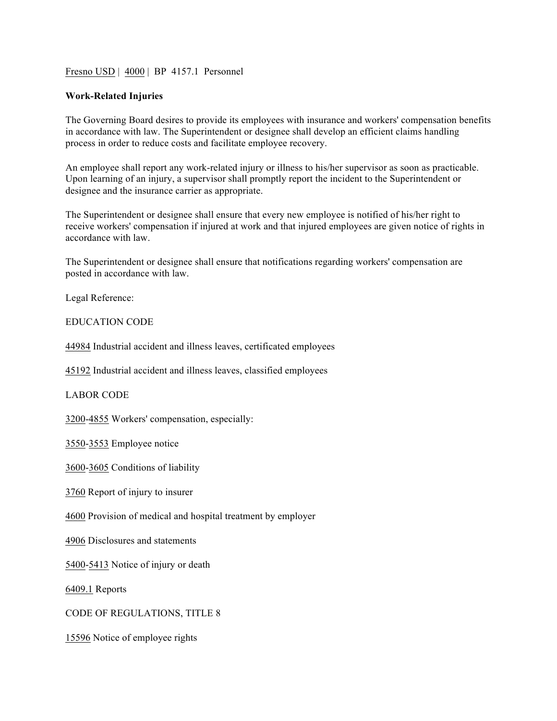Fresno USD | 4000 | BP 4157.1 Personnel

## **Work-Related Injuries**

The Governing Board desires to provide its employees with insurance and workers' compensation benefits in accordance with law. The Superintendent or designee shall develop an efficient claims handling process in order to reduce costs and facilitate employee recovery.

An employee shall report any work-related injury or illness to his/her supervisor as soon as practicable. Upon learning of an injury, a supervisor shall promptly report the incident to the Superintendent or designee and the insurance carrier as appropriate.

The Superintendent or designee shall ensure that every new employee is notified of his/her right to receive workers' compensation if injured at work and that injured employees are given notice of rights in accordance with law.

The Superintendent or designee shall ensure that notifications regarding workers' compensation are posted in accordance with law.

Legal Reference:

EDUCATION CODE

44984 Industrial accident and illness leaves, certificated employees

45192 Industrial accident and illness leaves, classified employees

LABOR CODE

3200-4855 Workers' compensation, especially:

3550-3553 Employee notice

3600-3605 Conditions of liability

3760 Report of injury to insurer

4600 Provision of medical and hospital treatment by employer

4906 Disclosures and statements

5400-5413 Notice of injury or death

6409.1 Reports

CODE OF REGULATIONS, TITLE 8

15596 Notice of employee rights